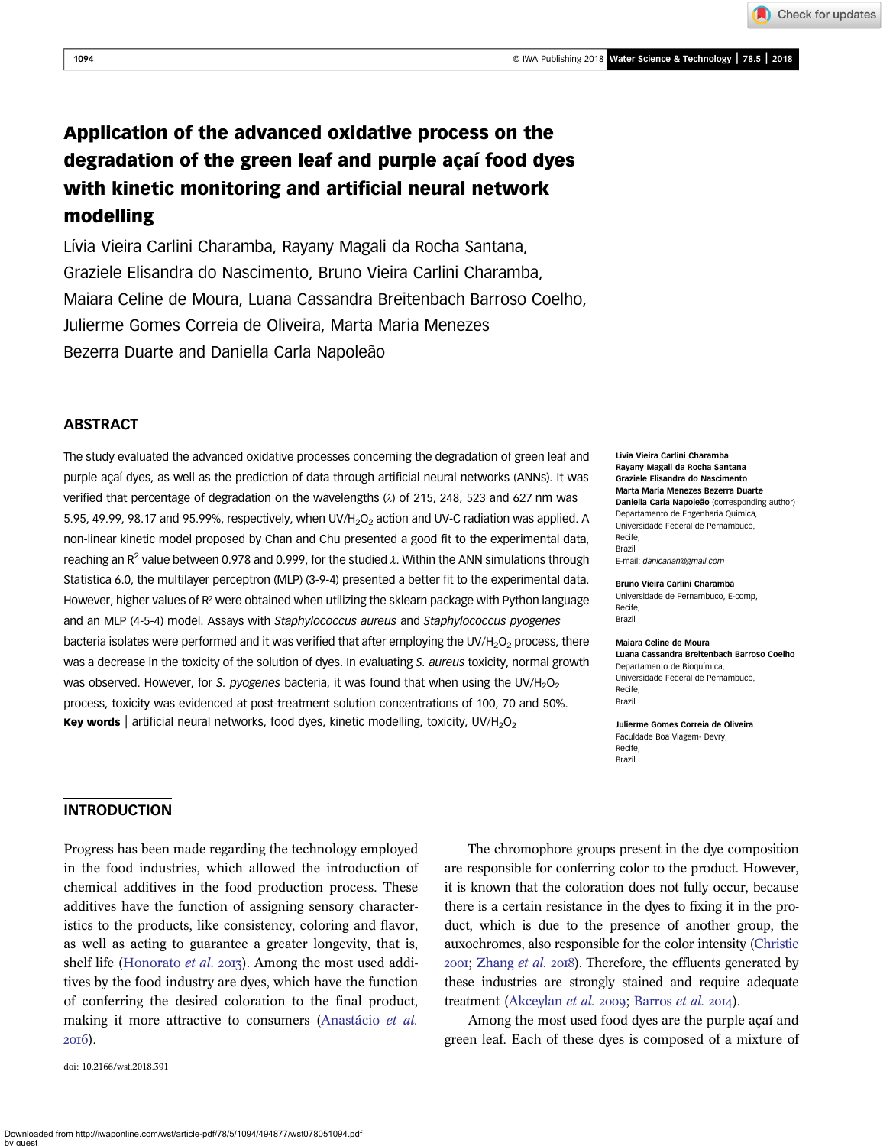Downloaded from http://iwaponline.com/wst/article-pdf/78/5/1094/494877/wst078051094.pdf

Application of the advanced oxidative process on the degradation of the green leaf and purple açaí food dyes with kinetic monitoring and artificial neural network modelling

Lívia Vieira Carlini Charamba, Rayany Magali da Rocha Santana, Graziele Elisandra do Nascimento, Bruno Vieira Carlini Charamba, Maiara Celine de Moura, Luana Cassandra Breitenbach Barroso Coelho, Julierme Gomes Correia de Oliveira, Marta Maria Menezes Bezerra Duarte and Daniella Carla Napoleão

# **ABSTRACT**

The study evaluated the advanced oxidative processes concerning the degradation of green leaf and purple açaí dyes, as well as the prediction of data through artificial neural networks (ANNs). It was verified that percentage of degradation on the wavelengths (λ) of 215, 248, 523 and 627 nm was 5.95, 49.99, 98.17 and 95.99%, respectively, when UV/H<sub>2</sub>O<sub>2</sub> action and UV-C radiation was applied. A non-linear kinetic model proposed by Chan and Chu presented a good fit to the experimental data, reaching an R<sup>2</sup> value between 0.978 and 0.999, for the studied  $\lambda$ . Within the ANN simulations through Statistica 6.0, the multilayer perceptron (MLP) (3-9-4) presented a better fit to the experimental data. However, higher values of R<sup>2</sup> were obtained when utilizing the sklearn package with Python language and an MLP (4-5-4) model. Assays with Staphylococcus aureus and Staphylococcus pyogenes bacteria isolates were performed and it was verified that after employing the UV/H<sub>2</sub>O<sub>2</sub> process, there was a decrease in the toxicity of the solution of dyes. In evaluating S. aureus toxicity, normal growth was observed. However, for S. pyogenes bacteria, it was found that when using the UV/H<sub>2</sub>O<sub>2</sub> process, toxicity was evidenced at post-treatment solution concentrations of 100, 70 and 50%. **Key words** artificial neural networks, food dyes, kinetic modelling, toxicity, UV/H<sub>2</sub>O<sub>2</sub>

Lívia Vieira Carlini Charamba Rayany Magali da Rocha Santana Graziele Elisandra do Nascimento Marta Maria Menezes Bezerra Duarte Daniella Carla Napoleão (corresponding author) Departamento de Engenharia Química, Universidade Federal de Pernambuco, Recife, Brazil E-mail: [danicarlan@gmail.com](mailto:danicarlan@gmail.com)

Bruno Vieira Carlini Charamba Universidade de Pernambuco, E-comp, Recife, Brazil

Maiara Celine de Moura

Luana Cassandra Breitenbach Barroso Coelho Departamento de Bioquímica, Universidade Federal de Pernambuco, Recife, Brazil

Julierme Gomes Correia de Oliveira Faculdade Boa Viagem- Devry, Recife, Brazil

# INTRODUCTION

Progress has been made regarding the technology employed in the food industries, which allowed the introduction of chemical additives in the food production process. These additives have the function of assigning sensory characteristics to the products, like consistency, coloring and flavor, as well as acting to guarantee a greater longevity, that is, shelf life ([Honorato](#page-8-0) et al. 2013). Among the most used additives by the food industry are dyes, which have the function of conferring the desired coloration to the final product, making it more attractive to consumers [\(Anastácio](#page-7-0) et al. 2016).

doi: 10.2166/wst.2018.391

by guest

The chromophore groups present in the dye composition are responsible for conferring color to the product. However, it is known that the coloration does not fully occur, because there is a certain resistance in the dyes to fixing it in the product, which is due to the presence of another group, the auxochromes, also responsible for the color intensity [\(Christie](#page-8-0)  $200I$ ; [Zhang](#page-9-0) *et al.*  $20I8$ ). Therefore, the effluents generated by these industries are strongly stained and require adequate treatment [\(Akceylan](#page-7-0) et al. 2009; [Barros](#page-7-0) et al. 2014).

Among the most used food dyes are the purple açaí and green leaf. Each of these dyes is composed of a mixture of

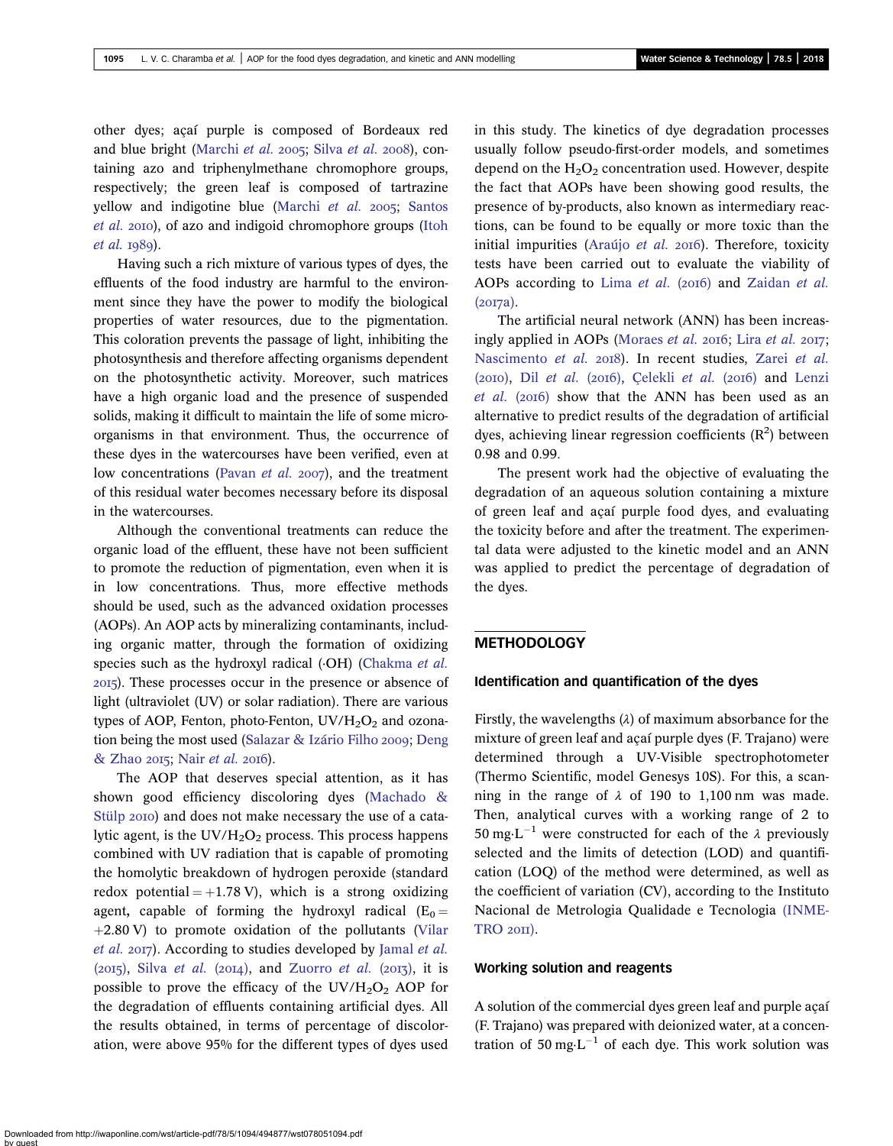other dyes; açaí purple is composed of Bordeaux red and blue bright ([Marchi](#page-8-0) [et al.](#page-9-0) 2005; Silva et al. 2008), containing azo and triphenylmethane chromophore groups, respectively; the green leaf is composed of tartrazine yellow and indigotine blue [\(Marchi](#page-8-0) et al.  $2005$ ; [Santos](#page-9-0) [et al.](#page-9-0) 2010), of azo and indigoid chromophore groups [\(Itoh](#page-8-0)  $et$  al.  $1989$ ).

Having such a rich mixture of various types of dyes, the effluents of the food industry are harmful to the environment since they have the power to modify the biological properties of water resources, due to the pigmentation. This coloration prevents the passage of light, inhibiting the photosynthesis and therefore affecting organisms dependent on the photosynthetic activity. Moreover, such matrices have a high organic load and the presence of suspended solids, making it difficult to maintain the life of some microorganisms in that environment. Thus, the occurrence of these dyes in the watercourses have been verified, even at low concentrations ([Pavan](#page-8-0) *et al.* 2007), and the treatment of this residual water becomes necessary before its disposal in the watercourses.

Although the conventional treatments can reduce the organic load of the effluent, these have not been sufficient to promote the reduction of pigmentation, even when it is in low concentrations. Thus, more effective methods should be used, such as the advanced oxidation processes (AOPs). An AOP acts by mineralizing contaminants, including organic matter, through the formation of oxidizing species such as the hydroxyl radical ( $\cdot$ OH) ([Chakma](#page-8-0) *et al.*) ). These processes occur in the presence or absence of light (ultraviolet (UV) or solar radiation). There are various types of AOP, Fenton, photo-Fenton,  $UV/H<sub>2</sub>O<sub>2</sub>$  and ozona-tion being the most used ([Salazar & Izário Filho](#page-8-0) 2009; [Deng](#page-8-0)  $&$  Zhao 2015; Nair [et al.](#page-8-0) 2016).

The AOP that deserves special attention, as it has shown good efficiency discoloring dyes [\(Machado &](#page-8-0) [Stülp](#page-8-0) 2010) and does not make necessary the use of a catalytic agent, is the  $UV/H_2O_2$  process. This process happens combined with UV radiation that is capable of promoting the homolytic breakdown of hydrogen peroxide (standard redox potential  $= +1.78$  V), which is a strong oxidizing agent, capable of forming the hydroxyl radical  $(E_0 =$  $+2.80$  V) to promote oxidation of the pollutants [\(Vilar](#page-9-0) [et al.](#page-9-0) 2017). According to studies developed by [Jamal](#page-8-0) et al.  $(2015)$ , Silva [et al.](#page-9-0)  $(2014)$ , and [Zuorro](#page-9-0) et al.  $(2013)$ , it is possible to prove the efficacy of the  $UV/H_2O_2$  AOP for the degradation of effluents containing artificial dyes. All the results obtained, in terms of percentage of discoloration, were above 95% for the different types of dyes used in this study. The kinetics of dye degradation processes usually follow pseudo-first-order models, and sometimes depend on the  $H_2O_2$  concentration used. However, despite the fact that AOPs have been showing good results, the presence of by-products, also known as intermediary reactions, can be found to be equally or more toxic than the initial impurities ([Araújo](#page-7-0) et al.  $2016$ ). Therefore, toxicity tests have been carried out to evaluate the viability of AOPs according to Lima [et al.](#page-8-0) (2016) and [Zaidan](#page-9-0) et al.  $(2017a)$ .

The artificial neural network (ANN) has been increas-ingly applied in AOPs ([Moraes](#page-8-0) [et al.](#page-8-0) 2016; Lira et al. 2017; [Nascimento](#page-8-0) [et al.](#page-9-0) 2018). In recent studies, Zarei et al.  $(2010)$ , Dil [et al.](#page-8-0)  $(2016)$ , [Çelekli](#page-8-0) et al.  $(2016)$  and [Lenzi](#page-8-0) [et al.](#page-8-0)  $(2016)$  show that the ANN has been used as an alternative to predict results of the degradation of artificial dyes, achieving linear regression coefficients  $(R^2)$  between 0.98 and 0.99.

The present work had the objective of evaluating the degradation of an aqueous solution containing a mixture of green leaf and açaí purple food dyes, and evaluating the toxicity before and after the treatment. The experimental data were adjusted to the kinetic model and an ANN was applied to predict the percentage of degradation of the dyes.

### **METHODOLOGY**

### Identification and quantification of the dyes

Firstly, the wavelengths  $(\lambda)$  of maximum absorbance for the mixture of green leaf and açaí purple dyes (F. Trajano) were determined through a UV-Visible spectrophotometer (Thermo Scientific, model Genesys 10S). For this, a scanning in the range of  $\lambda$  of 190 to 1,100 nm was made. Then, analytical curves with a working range of 2 to 50 mg $\cdot$ L<sup>-1</sup> were constructed for each of the  $\lambda$  previously selected and the limits of detection (LOD) and quantification (LOQ) of the method were determined, as well as the coefficient of variation (CV), according to the Instituto Nacional de Metrologia Qualidade e Tecnologia [\(INME-](#page-8-0) $TRO 20II$  $TRO 20II$ ).

### Working solution and reagents

A solution of the commercial dyes green leaf and purple açaí (F. Trajano) was prepared with deionized water, at a concentration of 50 mg $L^{-1}$  of each dye. This work solution was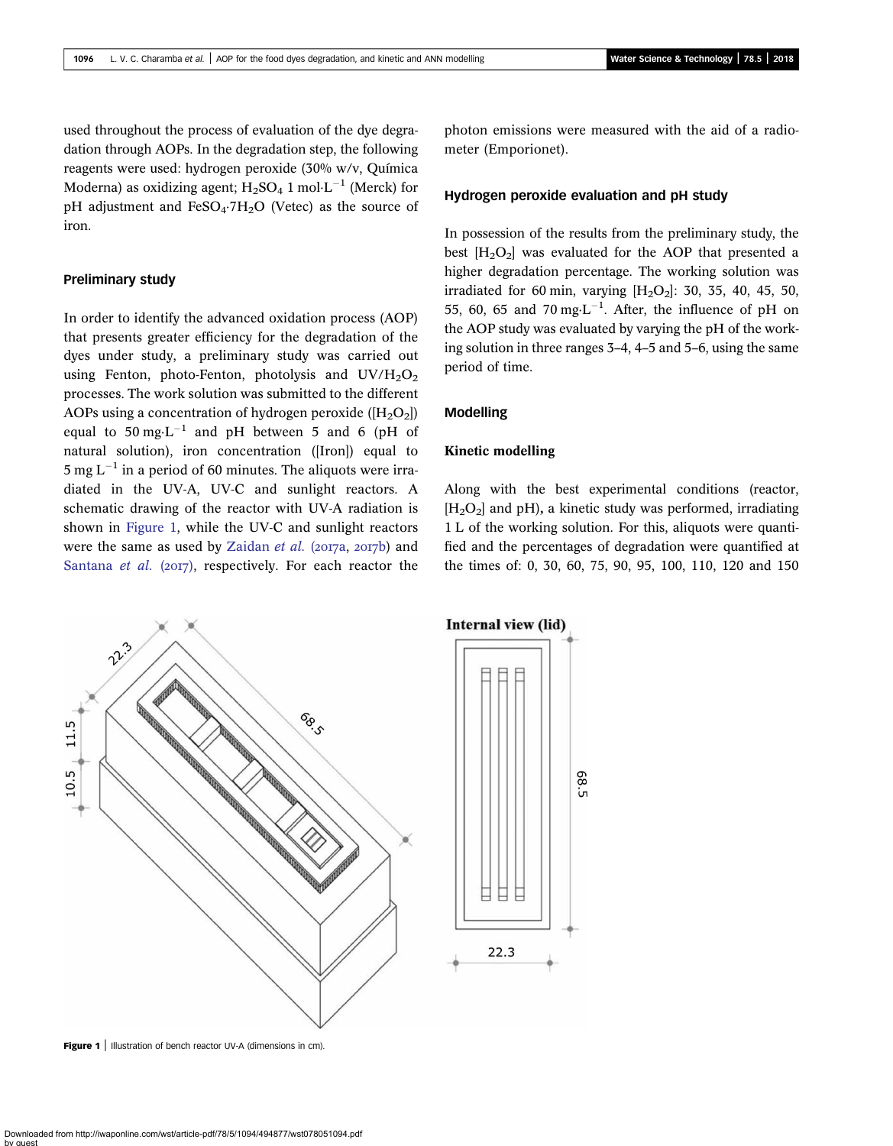used throughout the process of evaluation of the dye degradation through AOPs. In the degradation step, the following reagents were used: hydrogen peroxide (30% w/v, Química Moderna) as oxidizing agent;  $H_2SO_4$  1 mol $L^{-1}$  (Merck) for pH adjustment and  $FeSO<sub>4</sub>·7H<sub>2</sub>O$  (Vetec) as the source of iron.

### Preliminary study

In order to identify the advanced oxidation process (AOP) that presents greater efficiency for the degradation of the dyes under study, a preliminary study was carried out using Fenton, photo-Fenton, photolysis and  $UV/H_2O_2$ processes. The work solution was submitted to the different AOPs using a concentration of hydrogen peroxide ( $[H_2O_2]$ ) equal to  $50 \text{ mg} \cdot \text{L}^{-1}$  and pH between 5 and 6 (pH of natural solution), iron concentration ([Iron]) equal to 5 mg  $L^{-1}$  in a period of 60 minutes. The aliquots were irradiated in the UV-A, UV-C and sunlight reactors. A schematic drawing of the reactor with UV-A radiation is shown in Figure 1, while the UV-C and sunlight reactors were the same as used by [Zaidan](#page-9-0)  $et$  al. (2017a, 2017b) and [Santana](#page-8-0) et al.  $(2017)$ , respectively. For each reactor the photon emissions were measured with the aid of a radiometer (Emporionet).

### Hydrogen peroxide evaluation and pH study

In possession of the results from the preliminary study, the best  $[H_2O_2]$  was evaluated for the AOP that presented a higher degradation percentage. The working solution was irradiated for 60 min, varying  $[H_2O_2]$ : 30, 35, 40, 45, 50, 55, 60, 65 and 70 mg $\cdot L^{-1}$ . After, the influence of pH on the AOP study was evaluated by varying the pH of the working solution in three ranges 3–4, 4–5 and 5–6, using the same period of time.

### Modelling

### Kinetic modelling

Along with the best experimental conditions (reactor,  $[H<sub>2</sub>O<sub>2</sub>]$  and pH), a kinetic study was performed, irradiating 1 L of the working solution. For this, aliquots were quantified and the percentages of degradation were quantified at the times of: 0, 30, 60, 75, 90, 95, 100, 110, 120 and 150

> 89 ùп



Figure 1 | Illustration of bench reactor UV-A (dimensions in cm).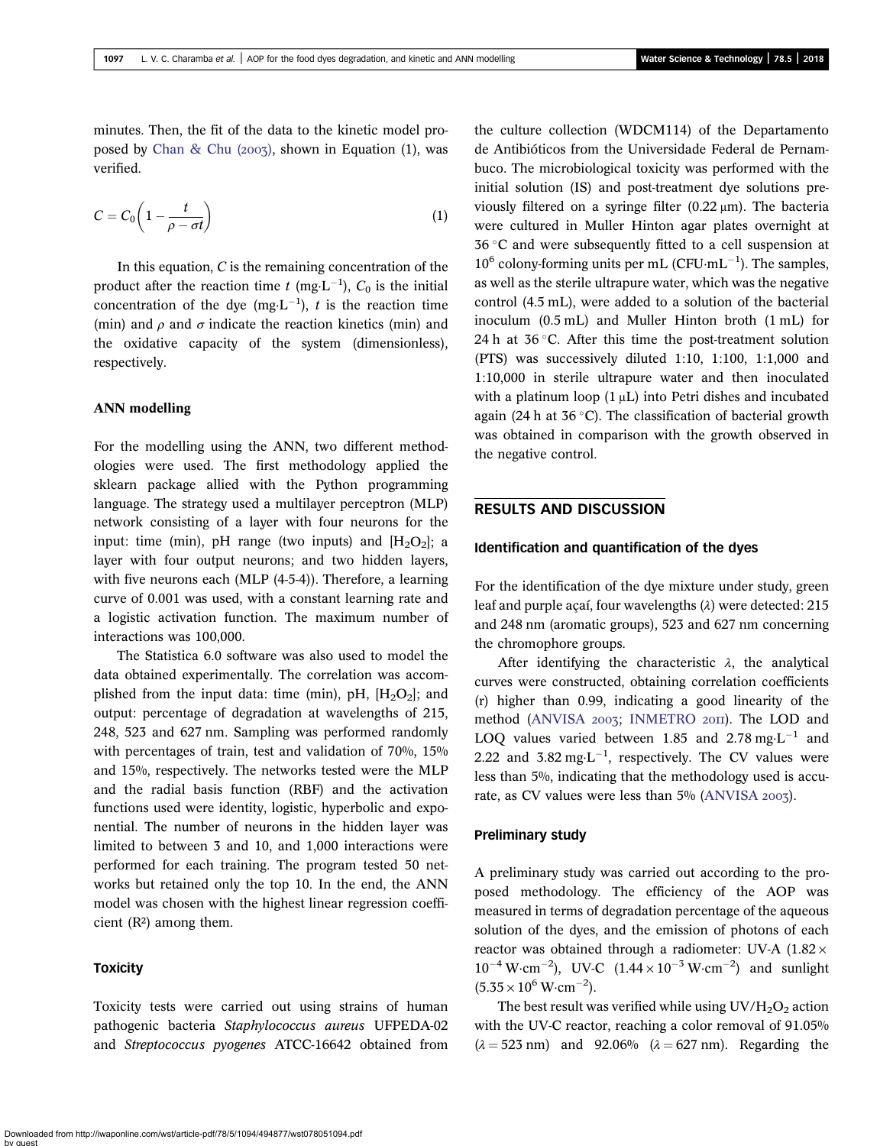minutes. Then, the fit of the data to the kinetic model proposed by Chan & Chu  $(2007)$ , shown in Equation (1), was verified.

$$
C = C_0 \left( 1 - \frac{t}{\rho - \sigma t} \right) \tag{1}
$$

In this equation,  $C$  is the remaining concentration of the product after the reaction time t (mg·L<sup>-1</sup>),  $C_0$  is the initial concentration of the dye (mg $L^{-1}$ ), t is the reaction time (min) and  $\rho$  and  $\sigma$  indicate the reaction kinetics (min) and the oxidative capacity of the system (dimensionless), respectively.

#### ANN modelling

For the modelling using the ANN, two different methodologies were used. The first methodology applied the sklearn package allied with the Python programming language. The strategy used a multilayer perceptron (MLP) network consisting of a layer with four neurons for the input: time (min), pH range (two inputs) and  $[H_2O_2]$ ; a layer with four output neurons; and two hidden layers, with five neurons each (MLP (4-5-4)). Therefore, a learning curve of 0.001 was used, with a constant learning rate and a logistic activation function. The maximum number of interactions was 100,000.

The Statistica 6.0 software was also used to model the data obtained experimentally. The correlation was accomplished from the input data: time (min), pH,  $[H_2O_2]$ ; and output: percentage of degradation at wavelengths of 215, 248, 523 and 627 nm. Sampling was performed randomly with percentages of train, test and validation of 70%, 15% and 15%, respectively. The networks tested were the MLP and the radial basis function (RBF) and the activation functions used were identity, logistic, hyperbolic and exponential. The number of neurons in the hidden layer was limited to between 3 and 10, and 1,000 interactions were performed for each training. The program tested 50 networks but retained only the top 10. In the end, the ANN model was chosen with the highest linear regression coefficient  $(R^2)$  among them.

### **Toxicity**

Toxicity tests were carried out using strains of human pathogenic bacteria Staphylococcus aureus UFPEDA-02 and Streptococcus pyogenes ATCC-16642 obtained from the culture collection (WDCM114) of the Departamento de Antibióticos from the Universidade Federal de Pernambuco. The microbiological toxicity was performed with the initial solution (IS) and post-treatment dye solutions previously filtered on a syringe filter (0.22 μm). The bacteria were cultured in Muller Hinton agar plates overnight at  $36^{\circ}$ C and were subsequently fitted to a cell suspension at  $10^6$  colony-forming units per mL (CFU·mL<sup>-1</sup>). The samples, as well as the sterile ultrapure water, which was the negative control (4.5 mL), were added to a solution of the bacterial inoculum (0.5 mL) and Muller Hinton broth (1 mL) for 24 h at  $36^{\circ}$ C. After this time the post-treatment solution (PTS) was successively diluted 1:10, 1:100, 1:1,000 and 1:10,000 in sterile ultrapure water and then inoculated with a platinum loop  $(1 \mu L)$  into Petri dishes and incubated again (24 h at  $36^{\circ}$ C). The classification of bacterial growth was obtained in comparison with the growth observed in the negative control.

# RESULTS AND DISCUSSION

#### Identification and quantification of the dyes

For the identification of the dye mixture under study, green leaf and purple açaí, four wavelengths (λ) were detected: 215 and 248 nm (aromatic groups), 523 and 627 nm concerning the chromophore groups.

After identifying the characteristic  $\lambda$ , the analytical curves were constructed, obtaining correlation coefficients (r) higher than 0.99, indicating a good linearity of the method ([ANVISA](#page-7-0) 2003; [INMETRO](#page-8-0) 2011). The LOD and LOQ values varied between 1.85 and 2.78 mg $\text{L}^{-1}$  and 2.22 and  $3.82 \text{ mg} \cdot \text{L}^{-1}$ , respectively. The CV values were less than 5%, indicating that the methodology used is accu-rate, as CV values were less than 5% ([ANVISA](#page-7-0) 2003).

#### Preliminary study

A preliminary study was carried out according to the proposed methodology. The efficiency of the AOP was measured in terms of degradation percentage of the aqueous solution of the dyes, and the emission of photons of each reactor was obtained through a radiometer: UV-A  $(1.82 \times$  $10^{-4}$  W·cm<sup>-2</sup>), UV-C  $(1.44 \times 10^{-3}$  W·cm<sup>-2</sup>) and sunlight  $(5.35 \times 10^6 \,\mathrm{W} \cdot \mathrm{cm}^{-2}).$ 

The best result was verified while using  $UV/H_2O_2$  action with the UV-C reactor, reaching a color removal of 91.05%  $(\lambda = 523 \text{ nm})$  and 92.06%  $(\lambda = 627 \text{ nm})$ . Regarding the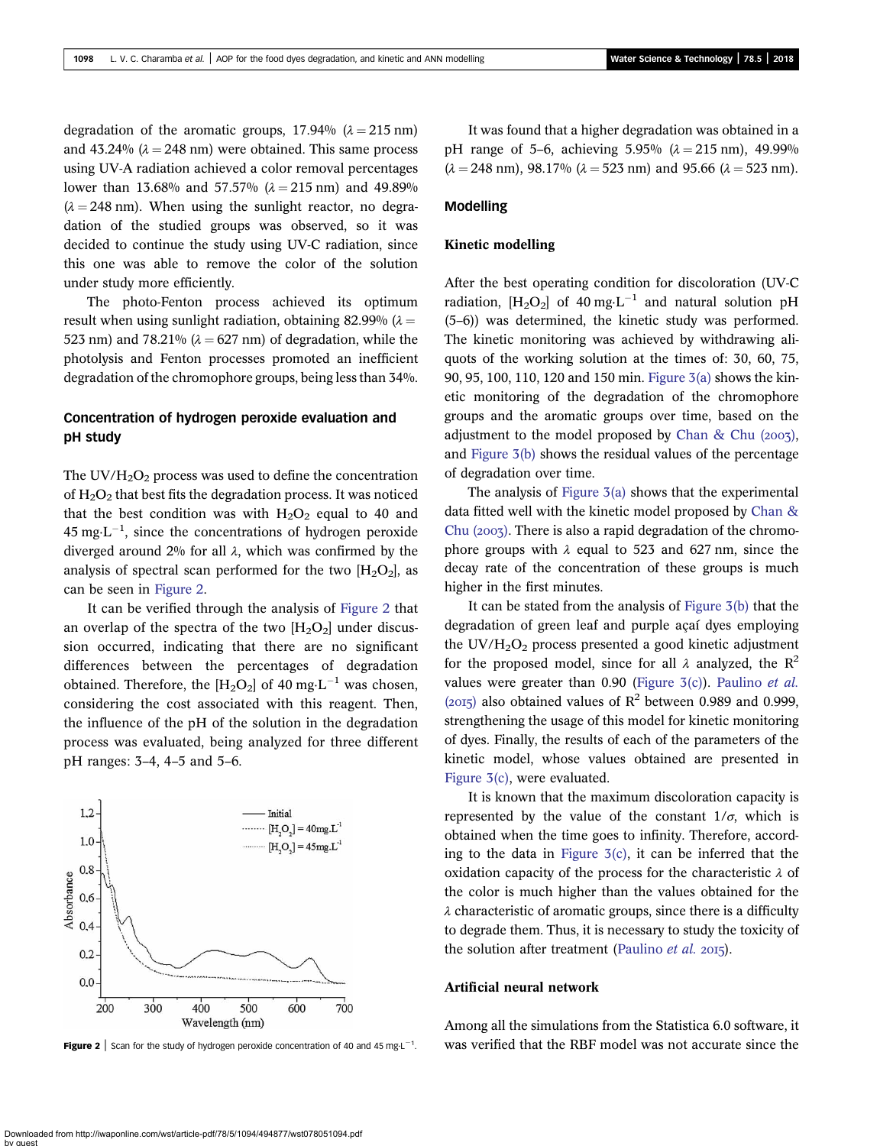degradation of the aromatic groups,  $17.94\%$  ( $\lambda = 215$  nm) and 43.24% ( $\lambda = 248$  nm) were obtained. This same process using UV-A radiation achieved a color removal percentages lower than 13.68% and 57.57% ( $\lambda = 215$  nm) and 49.89%  $(\lambda = 248 \text{ nm})$ . When using the sunlight reactor, no degradation of the studied groups was observed, so it was decided to continue the study using UV-C radiation, since this one was able to remove the color of the solution under study more efficiently.

The photo-Fenton process achieved its optimum result when using sunlight radiation, obtaining 82.99% ( $\lambda =$ 523 nm) and 78.21% ( $\lambda$  = 627 nm) of degradation, while the photolysis and Fenton processes promoted an inefficient degradation of the chromophore groups, being less than 34%.

# Concentration of hydrogen peroxide evaluation and pH study

The UV/ $H_2O_2$  process was used to define the concentration of  $H_2O_2$  that best fits the degradation process. It was noticed that the best condition was with  $H_2O_2$  equal to 40 and  $45 \text{ mg} \cdot \text{L}^{-1}$ , since the concentrations of hydrogen peroxide diverged around 2% for all  $\lambda$ , which was confirmed by the analysis of spectral scan performed for the two  $[H_2O_2]$ , as can be seen in Figure 2.

It can be verified through the analysis of Figure 2 that an overlap of the spectra of the two  $[H_2O_2]$  under discussion occurred, indicating that there are no significant differences between the percentages of degradation obtained. Therefore, the  $[H_2O_2]$  of 40 mg·L<sup>-1</sup> was chosen, considering the cost associated with this reagent. Then, the influence of the pH of the solution in the degradation process was evaluated, being analyzed for three different pH ranges: 3–4, 4–5 and 5–6.



1 .

It was found that a higher degradation was obtained in a pH range of 5–6, achieving 5.95% ( $\lambda = 215$  nm), 49.99%  $(\lambda = 248 \text{ nm})$ , 98.17%  $(\lambda = 523 \text{ nm})$  and 95.66  $(\lambda = 523 \text{ nm})$ .

### Modelling

#### Kinetic modelling

After the best operating condition for discoloration (UV-C radiation,  $[H_2O_2]$  of 40 mg·L<sup>-1</sup> and natural solution pH (5–6)) was determined, the kinetic study was performed. The kinetic monitoring was achieved by withdrawing aliquots of the working solution at the times of: 30, 60, 75, 90, 95, 100, 110, 120 and 150 min. [Figure 3\(a\)](#page-5-0) shows the kinetic monitoring of the degradation of the chromophore groups and the aromatic groups over time, based on the adjustment to the model proposed by Chan & Chu  $(2007)$ , and [Figure 3\(b\)](#page-5-0) shows the residual values of the percentage of degradation over time.

The analysis of Figure  $3(a)$  shows that the experimental data fitted well with the kinetic model proposed by [Chan &](#page-8-0) Chu  $(2007)$ . There is also a rapid degradation of the chromophore groups with  $\lambda$  equal to 523 and 627 nm, since the decay rate of the concentration of these groups is much higher in the first minutes.

It can be stated from the analysis of [Figure 3\(b\)](#page-5-0) that the degradation of green leaf and purple açaí dyes employing the  $UV/H<sub>2</sub>O<sub>2</sub>$  process presented a good kinetic adjustment for the proposed model, since for all  $\lambda$  analyzed, the R<sup>2</sup> values were greater than  $0.90$  (Figure  $3(c)$ ). [Paulino](#page-8-0) *et al.* (2015) also obtained values of  $\mathbb{R}^2$  between 0.989 and 0.999, strengthening the usage of this model for kinetic monitoring of dyes. Finally, the results of each of the parameters of the kinetic model, whose values obtained are presented in [Figure 3\(c\),](#page-5-0) were evaluated.

It is known that the maximum discoloration capacity is represented by the value of the constant  $1/\sigma$ , which is obtained when the time goes to infinity. Therefore, according to the data in Figure  $3(c)$ , it can be inferred that the oxidation capacity of the process for the characteristic  $\lambda$  of the color is much higher than the values obtained for the  $\lambda$  characteristic of aromatic groups, since there is a difficulty to degrade them. Thus, it is necessary to study the toxicity of the solution after treatment [\(Paulino](#page-8-0) *et al.* 2015).

### Artificial neural network

Among all the simulations from the Statistica 6.0 software, it was verified that the RBF model was not accurate since the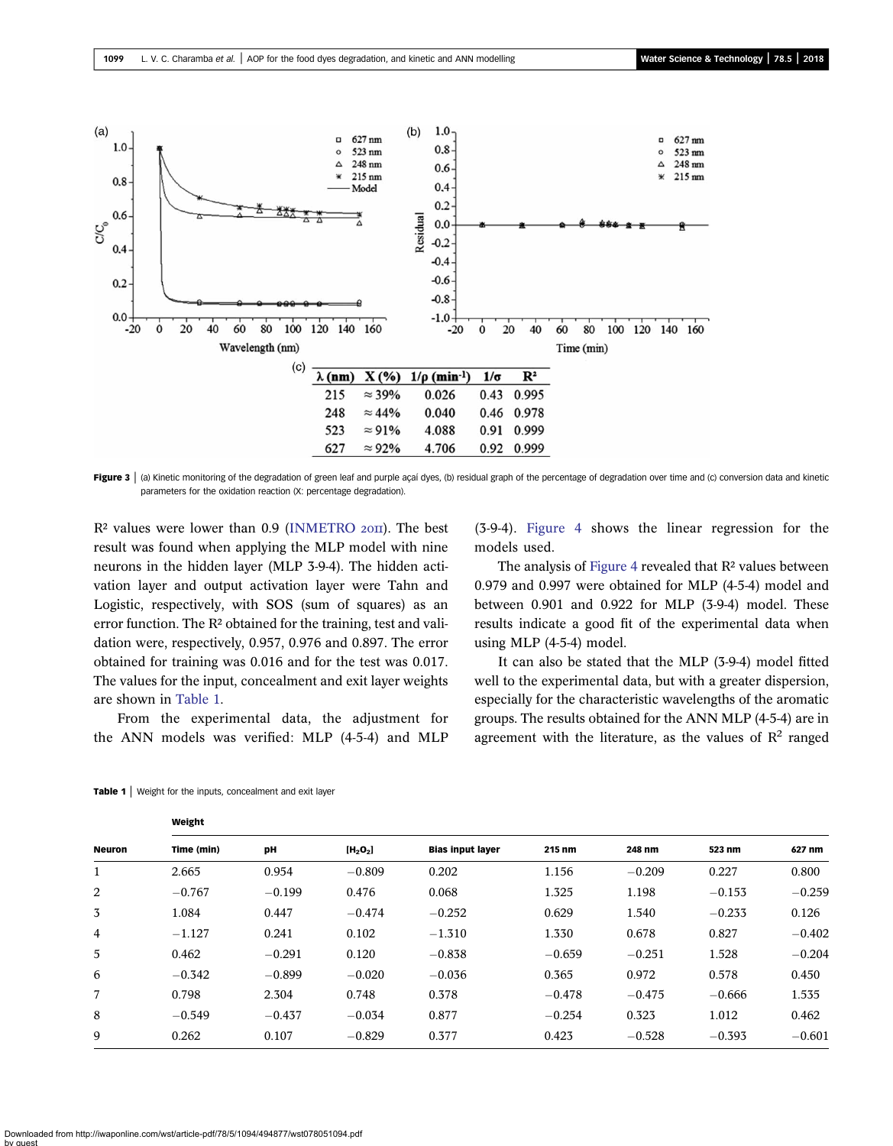<span id="page-5-0"></span>

Figure 3 | (a) Kinetic monitoring of the degradation of green leaf and purple açaí dyes, (b) residual graph of the percentage of degradation over time and (c) conversion data and kinetic parameters for the oxidation reaction (X: percentage degradation).

 $R<sup>2</sup>$  values were lower than 0.9 [\(INMETRO](#page-8-0)  $20$ II). The best result was found when applying the MLP model with nine neurons in the hidden layer (MLP 3-9-4). The hidden activation layer and output activation layer were Tahn and Logistic, respectively, with SOS (sum of squares) as an error function. The R² obtained for the training, test and validation were, respectively, 0.957, 0.976 and 0.897. The error obtained for training was 0.016 and for the test was 0.017. The values for the input, concealment and exit layer weights are shown in Table 1.

From the experimental data, the adjustment for the ANN models was verified: MLP (4-5-4) and MLP (3-9-4). [Figure 4](#page-6-0) shows the linear regression for the models used.

The analysis of [Figure 4](#page-6-0) revealed that R<sup>2</sup> values between 0.979 and 0.997 were obtained for MLP (4-5-4) model and between 0.901 and 0.922 for MLP (3-9-4) model. These results indicate a good fit of the experimental data when using MLP (4-5-4) model.

It can also be stated that the MLP (3-9-4) model fitted well to the experimental data, but with a greater dispersion, especially for the characteristic wavelengths of the aromatic groups. The results obtained for the ANN MLP (4-5-4) are in agreement with the literature, as the values of  $\mathbb{R}^2$  ranged

| <b>Neuron</b>  |            |          |            |                         |          |          |          |          |
|----------------|------------|----------|------------|-------------------------|----------|----------|----------|----------|
|                | Time (min) | pH       | $[H_2O_2]$ | <b>Bias input layer</b> | 215 nm   | 248 nm   | 523 nm   | 627 nm   |
| $\mathbf{1}$   | 2.665      | 0.954    | $-0.809$   | 0.202                   | 1.156    | $-0.209$ | 0.227    | 0.800    |
| 2              | $-0.767$   | $-0.199$ | 0.476      | 0.068                   | 1.325    | 1.198    | $-0.153$ | $-0.259$ |
| 3              | 1.084      | 0.447    | $-0.474$   | $-0.252$                | 0.629    | 1.540    | $-0.233$ | 0.126    |
| $\overline{4}$ | $-1.127$   | 0.241    | 0.102      | $-1.310$                | 1.330    | 0.678    | 0.827    | $-0.402$ |
| 5              | 0.462      | $-0.291$ | 0.120      | $-0.838$                | $-0.659$ | $-0.251$ | 1.528    | $-0.204$ |
| 6              | $-0.342$   | $-0.899$ | $-0.020$   | $-0.036$                | 0.365    | 0.972    | 0.578    | 0.450    |
| 7              | 0.798      | 2.304    | 0.748      | 0.378                   | $-0.478$ | $-0.475$ | $-0.666$ | 1.535    |
| 8              | $-0.549$   | $-0.437$ | $-0.034$   | 0.877                   | $-0.254$ | 0.323    | 1.012    | 0.462    |
| 9              | 0.262      | 0.107    | $-0.829$   | 0.377                   | 0.423    | $-0.528$ | $-0.393$ | $-0.601$ |
|                |            |          |            |                         |          |          |          |          |

Table 1 | Weight for the inputs, concealment and exit layer

Weight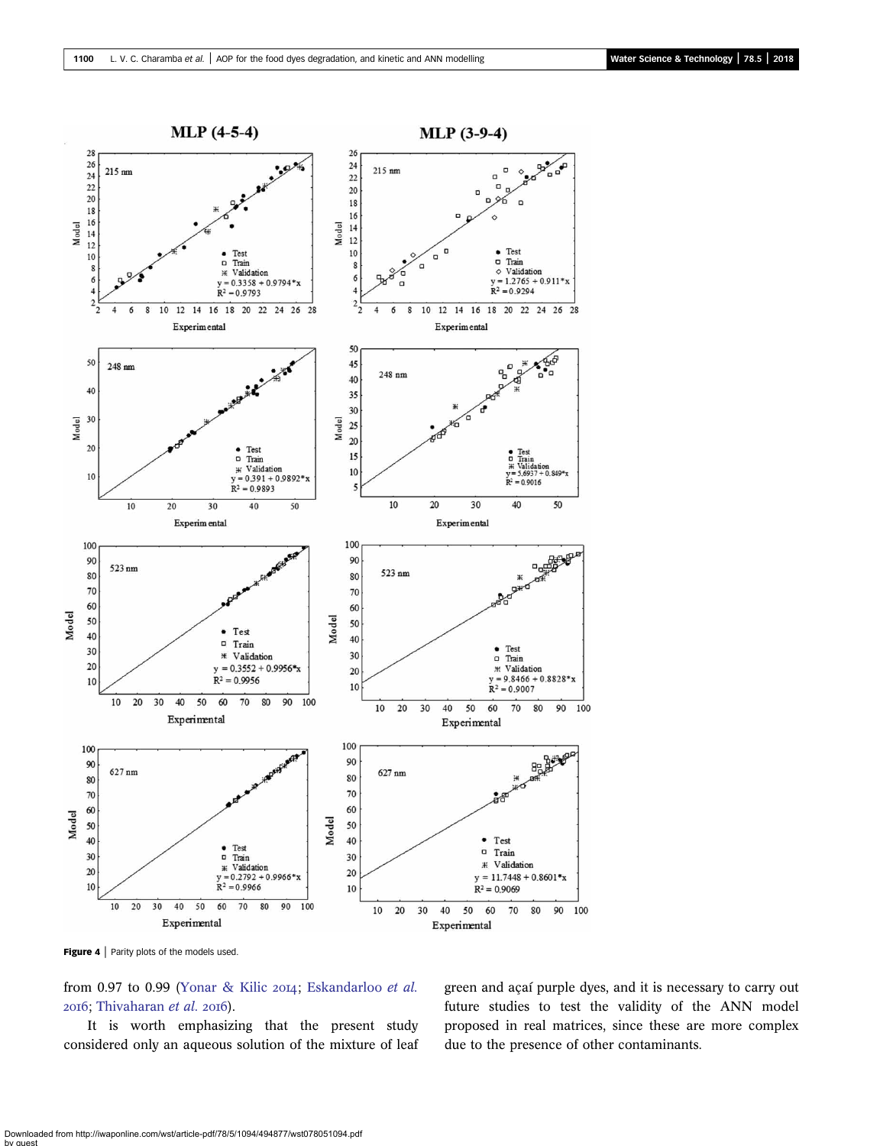<span id="page-6-0"></span>

Figure 4 | Parity plots of the models used.

from 0.97 to 0.99 ([Yonar & Kilic](#page-9-0) 2014; [Eskandarloo](#page-8-0) et al. 2016; [Thivaharan](#page-9-0) et al. 2016).

It is worth emphasizing that the present study considered only an aqueous solution of the mixture of leaf green and açaí purple dyes, and it is necessary to carry out future studies to test the validity of the ANN model proposed in real matrices, since these are more complex due to the presence of other contaminants.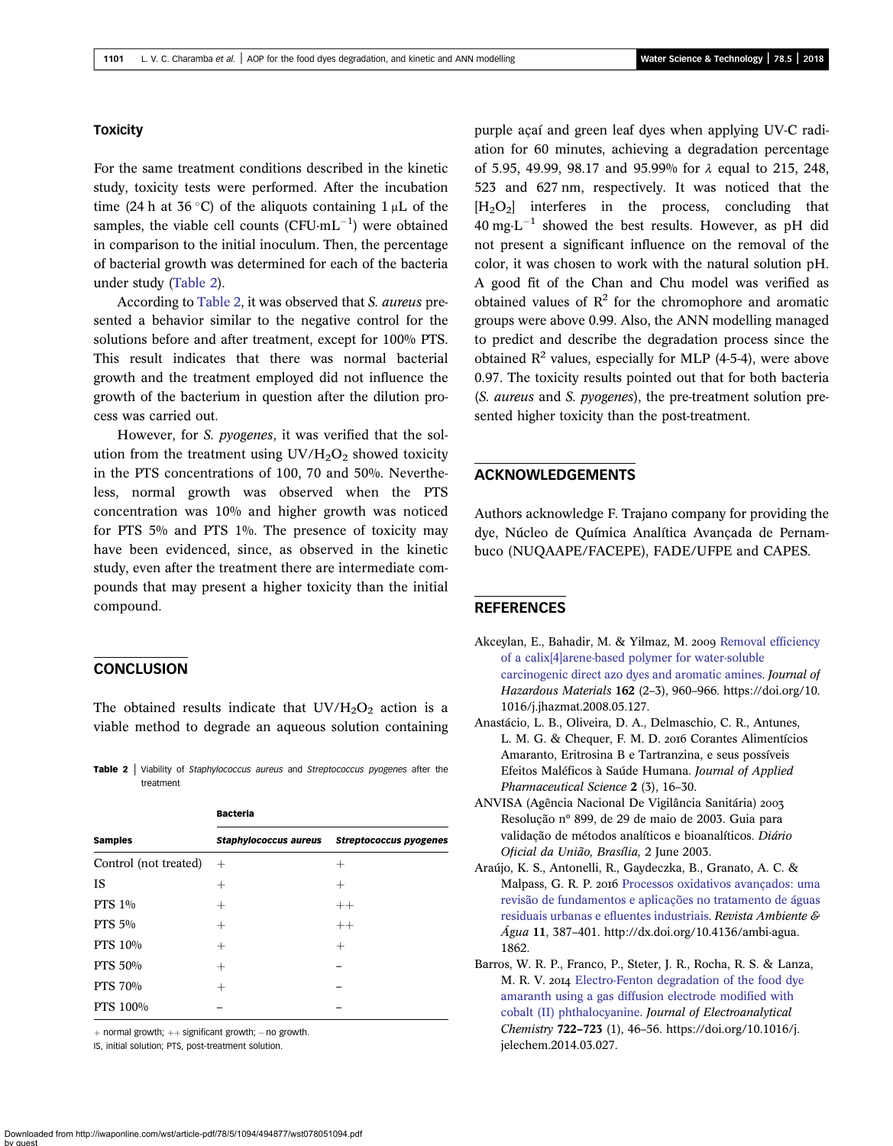### <span id="page-7-0"></span>**Toxicity**

For the same treatment conditions described in the kinetic study, toxicity tests were performed. After the incubation time (24 h at 36 °C) of the aliquots containing  $1 \mu$ L of the samples, the viable cell counts  $(CFU·mL^{-1})$  were obtained in comparison to the initial inoculum. Then, the percentage of bacterial growth was determined for each of the bacteria under study (Table 2).

According to Table 2, it was observed that S. aureus presented a behavior similar to the negative control for the solutions before and after treatment, except for 100% PTS. This result indicates that there was normal bacterial growth and the treatment employed did not influence the growth of the bacterium in question after the dilution process was carried out.

However, for *S. pyogenes*, it was verified that the solution from the treatment using  $UV/H<sub>2</sub>O<sub>2</sub>$  showed toxicity in the PTS concentrations of 100, 70 and 50%. Nevertheless, normal growth was observed when the PTS concentration was 10% and higher growth was noticed for PTS 5% and PTS 1%. The presence of toxicity may have been evidenced, since, as observed in the kinetic study, even after the treatment there are intermediate compounds that may present a higher toxicity than the initial compound.

### **CONCLUSION**

The obtained results indicate that  $UV/H_2O_2$  action is a viable method to degrade an aqueous solution containing

Table 2 | Viability of Staphylococcus aureus and Streptococcus pyogenes after the treatment

|                       | <b>Bacteria</b>              |                               |  |  |  |  |
|-----------------------|------------------------------|-------------------------------|--|--|--|--|
| <b>Samples</b>        | <b>Staphylococcus aureus</b> | <b>Streptococcus pyogenes</b> |  |  |  |  |
| Control (not treated) | $^{+}$                       | $^{+}$                        |  |  |  |  |
| <b>IS</b>             | $^+$                         | $^+$                          |  |  |  |  |
| PTS 1%                | $^{+}$                       | $++$                          |  |  |  |  |
| PTS 5%                | $^+$                         | $++$                          |  |  |  |  |
| <b>PTS 10%</b>        | $^{+}$                       | $^{+}$                        |  |  |  |  |
| <b>PTS 50%</b>        | $^+$                         |                               |  |  |  |  |
| <b>PTS 70%</b>        | $^{+}$                       |                               |  |  |  |  |
| PTS 100%              |                              |                               |  |  |  |  |

 $+$  normal growth;  $++$  significant growth;  $-$  no growth.

IS, initial solution; PTS, post-treatment solution.

purple açaí and green leaf dyes when applying UV-C radiation for 60 minutes, achieving a degradation percentage of 5.95, 49.99, 98.17 and 95.99% for λ equal to 215, 248, 523 and 627 nm, respectively. It was noticed that the  $[H_2O_2]$  interferes in the process, concluding that  $40 \text{ mg} \cdot \text{L}^{-1}$  showed the best results. However, as pH did not present a significant influence on the removal of the color, it was chosen to work with the natural solution pH. A good fit of the Chan and Chu model was verified as obtained values of  $R^2$  for the chromophore and aromatic groups were above 0.99. Also, the ANN modelling managed to predict and describe the degradation process since the obtained  $\mathbb{R}^2$  values, especially for MLP (4-5-4), were above 0.97. The toxicity results pointed out that for both bacteria (S. aureus and S. pyogenes), the pre-treatment solution presented higher toxicity than the post-treatment.

## ACKNOWLEDGEMENTS

Authors acknowledge F. Trajano company for providing the dye, Núcleo de Química Analítica Avançada de Pernambuco (NUQAAPE/FACEPE), FADE/UFPE and CAPES.

### **REFERENCES**

- Akceylan, E., Bahadir, M. & Yilmaz, M. 2009 [Removal efficiency](http://dx.doi.org/10.1016/j.jhazmat.2008.05.127) [of a calix\[4\]arene-based polymer for water-soluble](http://dx.doi.org/10.1016/j.jhazmat.2008.05.127) [carcinogenic direct azo dyes and aromatic amines](http://dx.doi.org/10.1016/j.jhazmat.2008.05.127). Journal of Hazardous Materials 162 (2–3), 960–966. https://doi.org/10. 1016/j.jhazmat.2008.05.127.
- Anastácio, L. B., Oliveira, D. A., Delmaschio, C. R., Antunes, L. M. G. & Chequer, F. M. D. 2016 Corantes Alimentícios Amaranto, Eritrosina B e Tartranzina, e seus possíveis Efeitos Maléficos à Saúde Humana. Journal of Applied Pharmaceutical Science 2 (3), 16–30.
- ANVISA (Agência Nacional De Vigilância Sanitária) Resolução nº 899, de 29 de maio de 2003. Guia para validação de métodos analíticos e bioanalíticos. Diário Oficial da União, Brasília, 2 June 2003.
- Araújo, K. S., Antonelli, R., Gaydeczka, B., Granato, A. C. & Malpass, G. R. P. 2016 [Processos oxidativos avançados: uma](http://dx.doi.org/10.4136/ambi-agua.1862) [revisão de fundamentos e aplicações no tratamento de águas](http://dx.doi.org/10.4136/ambi-agua.1862) [residuais urbanas e efluentes industriais.](http://dx.doi.org/10.4136/ambi-agua.1862) Revista Ambiente & Água 11, 387–401. http://dx.doi.org/10.4136/ambi-agua. 1862.
- Barros, W. R. P., Franco, P., Steter, J. R., Rocha, R. S. & Lanza, M. R. V. 2014 [Electro-Fenton degradation of the food dye](http://dx.doi.org/10.1016/j.jelechem.2014.03.027) [amaranth using a gas diffusion electrode modified with](http://dx.doi.org/10.1016/j.jelechem.2014.03.027) [cobalt \(II\) phthalocyanine.](http://dx.doi.org/10.1016/j.jelechem.2014.03.027) Journal of Electroanalytical Chemistry 722–723 (1), 46–56. https://doi.org/10.1016/j. jelechem.2014.03.027.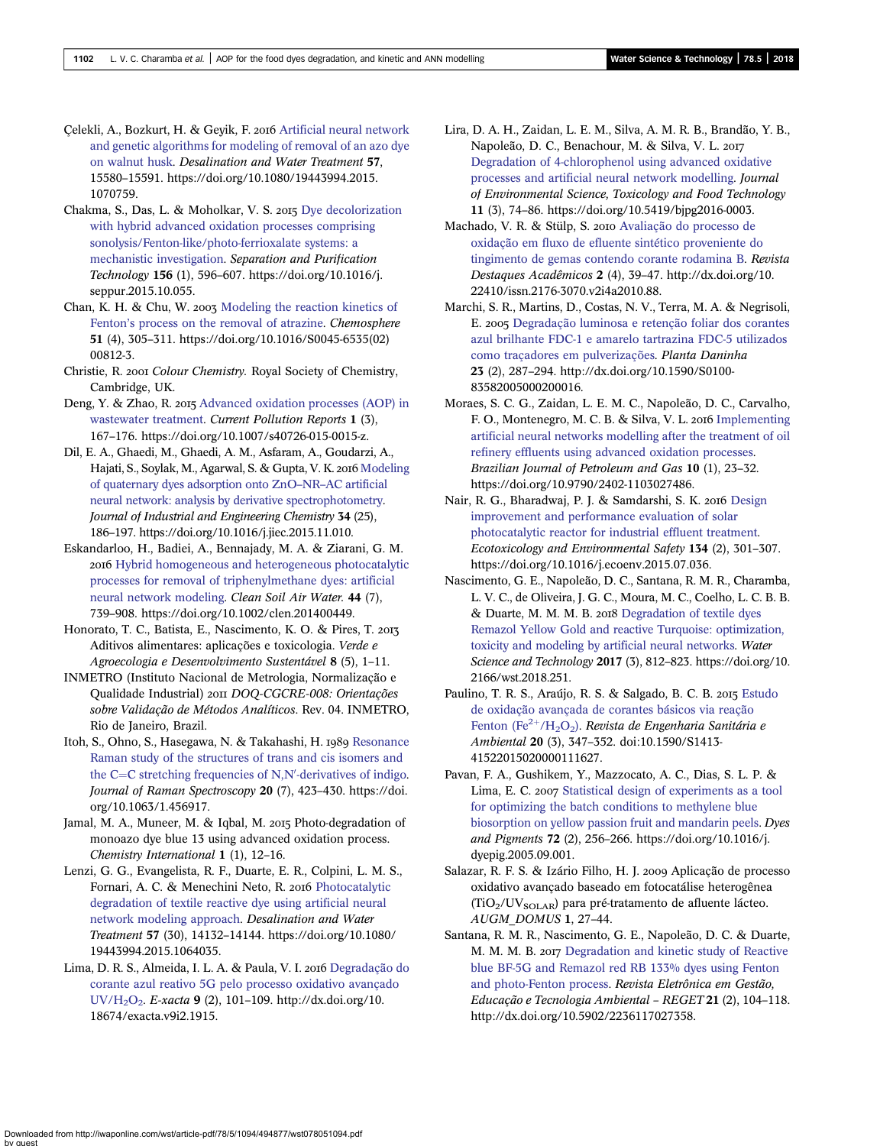- <span id="page-8-0"></span>Celekli, A., Bozkurt, H. & Gevik, F. 2016 [Artificial neural network](http://dx.doi.org/10.1080/19443994.2015.1070759) [and genetic algorithms for modeling of removal of an azo dye](http://dx.doi.org/10.1080/19443994.2015.1070759) [on walnut husk.](http://dx.doi.org/10.1080/19443994.2015.1070759) Desalination and Water Treatment 57, 15580–15591. https://doi.org/10.1080/19443994.2015. 1070759.
- Chakma, S., Das, L. & Moholkar, V. S. 2015 [Dye decolorization](http://dx.doi.org/10.1016/j.seppur.2015.10.055) [with hybrid advanced oxidation processes comprising](http://dx.doi.org/10.1016/j.seppur.2015.10.055) [sonolysis/Fenton-like/photo-ferrioxalate systems: a](http://dx.doi.org/10.1016/j.seppur.2015.10.055) [mechanistic investigation.](http://dx.doi.org/10.1016/j.seppur.2015.10.055) Separation and Purification Technology 156 (1), 596–607. https://doi.org/10.1016/j. seppur.2015.10.055.
- Chan, K. H. & Chu, W. 2003 [Modeling the reaction kinetics of](http://dx.doi.org/10.1016/S0045-6535(02)00812-3) Fenton'[s process on the removal of atrazine.](http://dx.doi.org/10.1016/S0045-6535(02)00812-3) Chemosphere 51 (4), 305–311. https://doi.org/10.1016/S0045-6535(02) 00812-3.
- Christie, R. 2001 Colour Chemistry. Royal Society of Chemistry, Cambridge, UK.
- Deng, Y. & Zhao, R. 2015 [Advanced oxidation processes \(AOP\) in](http://dx.doi.org/10.1007/s40726-015-0015-z) [wastewater treatment.](http://dx.doi.org/10.1007/s40726-015-0015-z) Current Pollution Reports 1 (3), 167–176. https://doi.org/10.1007/s40726-015-0015-z.
- Dil, E. A., Ghaedi, M., Ghaedi, A. M., Asfaram, A., Goudarzi, A., Hajati, S., Soylak, M., Agarwal, S. & Gupta, V. K. 2016 [Modeling](http://dx.doi.org/10.1016/j.jiec.2015.11.010) [of quaternary dyes adsorption onto ZnO](http://dx.doi.org/10.1016/j.jiec.2015.11.010)–NR–AC artificial [neural network: analysis by derivative spectrophotometry](http://dx.doi.org/10.1016/j.jiec.2015.11.010). Journal of Industrial and Engineering Chemistry 34 (25), 186–197. https://doi.org/10.1016/j.jiec.2015.11.010.
- Eskandarloo, H., Badiei, A., Bennajady, M. A. & Ziarani, G. M. 2016 [Hybrid homogeneous and heterogeneous photocatalytic](http://dx.doi.org/10.1002/clen.201400449) [processes for removal of triphenylmethane dyes: artificial](http://dx.doi.org/10.1002/clen.201400449) [neural network modeling](http://dx.doi.org/10.1002/clen.201400449). Clean Soil Air Water. 44 (7), 739–908. https://doi.org/10.1002/clen.201400449.
- Honorato, T. C., Batista, E., Nascimento, K. O. & Pires, T. Aditivos alimentares: aplicações e toxicologia. Verde e Agroecologia e Desenvolvimento Sustentável 8 (5), 1–11.
- INMETRO (Instituto Nacional de Metrologia, Normalização e Qualidade Industrial) 2011 DOQ-CGCRE-008: Orientações sobre Validação de Métodos Analíticos. Rev. 04. INMETRO, Rio de Janeiro, Brazil.
- Itoh, S., Ohno, S., Hasegawa, N. & Takahashi, H. 1989 [Resonance](http://dx.doi.org/10.1002/jrs.1250200706) [Raman study of the structures of trans and cis isomers and](http://dx.doi.org/10.1002/jrs.1250200706) the  $C=C$  stretching frequencies of N,N'[-derivatives of indigo](http://dx.doi.org/10.1002/jrs.1250200706). Journal of Raman Spectroscopy 20 (7), 423-430. https://doi. org/10.1063/1.456917.
- Jamal, M. A., Muneer, M. & Iqbal, M. 2015 Photo-degradation of monoazo dye blue 13 using advanced oxidation process. Chemistry International 1 (1), 12–16.
- Lenzi, G. G., Evangelista, R. F., Duarte, E. R., Colpini, L. M. S., Fornari, A. C. & Menechini Neto, R. 2016 [Photocatalytic](http://dx.doi.org/10.1080/19443994.2015.1064035) [degradation of textile reactive dye using artificial neural](http://dx.doi.org/10.1080/19443994.2015.1064035) [network modeling approach.](http://dx.doi.org/10.1080/19443994.2015.1064035) Desalination and Water Treatment 57 (30), 14132–14144. https://doi.org/10.1080/ 19443994.2015.1064035.
- Lima, D. R. S., Almeida, I. L. A. & Paula, V. I. 2016 [Degradação do](http://dx.doi.org/10.18674/exacta.v9i2.1915) [corante azul reativo 5G pelo processo oxidativo avançado](http://dx.doi.org/10.18674/exacta.v9i2.1915) [UV/H2O2.](http://dx.doi.org/10.18674/exacta.v9i2.1915) E-xacta 9 (2), 101–109. http://dx.doi.org/10. 18674/exacta.v9i2.1915.
- Lira, D. A. H., Zaidan, L. E. M., Silva, A. M. R. B., Brandão, Y. B., Napoleão, D. C., Benachour, M. & Silva, V. L. [Degradation of 4-chlorophenol using advanced oxidative](http://dx.doi.org/10.5419/bjpg2016-0003) [processes and artificial neural network modelling.](http://dx.doi.org/10.5419/bjpg2016-0003) Journal of Environmental Science, Toxicology and Food Technology 11 (3), 74–86. https://doi.org/10.5419/bjpg2016-0003.
- Machado, V. R. & Stülp, S. 2010 [Avaliação do processo de](http://dx.doi.org/10.22410/issn.2176-3070.v2i4a2010.88) [oxidação em fluxo de efluente sintético proveniente do](http://dx.doi.org/10.22410/issn.2176-3070.v2i4a2010.88) [tingimento de gemas contendo corante rodamina B](http://dx.doi.org/10.22410/issn.2176-3070.v2i4a2010.88). Revista Destaques Acadêmicos 2 (4), 39–47. http://dx.doi.org/10. 22410/issn.2176-3070.v2i4a2010.88.
- Marchi, S. R., Martins, D., Costas, N. V., Terra, M. A. & Negrisoli, E. 2005 [Degradação luminosa e retenção foliar dos corantes](http://dx.doi.org/10.1590/S0100-83582005000200016) [azul brilhante FDC-1 e amarelo tartrazina FDC-5 utilizados](http://dx.doi.org/10.1590/S0100-83582005000200016) [como traçadores em pulverizações.](http://dx.doi.org/10.1590/S0100-83582005000200016) Planta Daninha 23 (2), 287–294. http://dx.doi.org/10.1590/S0100- 83582005000200016.
- Moraes, S. C. G., Zaidan, L. E. M. C., Napoleão, D. C., Carvalho, F. O., Montenegro, M. C. B. & Silva, V. L. 2016 [Implementing](http://dx.doi.org/10.5419/bjpg2016-0003) [artificial neural networks modelling after the treatment of oil](http://dx.doi.org/10.5419/bjpg2016-0003) [refinery effluents using advanced oxidation processes](http://dx.doi.org/10.5419/bjpg2016-0003). Brazilian Journal of Petroleum and Gas 10 (1), 23–32. https://doi.org/10.9790/2402-1103027486.
- Nair, R. G., Bharadwaj, P. J. & Samdarshi, S. K. 2016 [Design](http://dx.doi.org/10.1016/j.ecoenv.2015.07.036) [improvement and performance evaluation of solar](http://dx.doi.org/10.1016/j.ecoenv.2015.07.036) [photocatalytic reactor for industrial effluent treatment](http://dx.doi.org/10.1016/j.ecoenv.2015.07.036). Ecotoxicology and Environmental Safety 134 (2), 301–307. https://doi.org/10.1016/j.ecoenv.2015.07.036.
- Nascimento, G. E., Napoleão, D. C., Santana, R. M. R., Charamba, L. V. C., de Oliveira, J. G. C., Moura, M. C., Coelho, L. C. B. B. & Duarte, M. M. M. B. 2018 [Degradation of textile dyes](http://dx.doi.org/10.2166/wst.2018.251) [Remazol Yellow Gold and reactive Turquoise: optimization,](http://dx.doi.org/10.2166/wst.2018.251) [toxicity and modeling by artificial neural networks](http://dx.doi.org/10.2166/wst.2018.251). Water Science and Technology 2017 (3), 812–823. https://doi.org/10. 2166/wst.2018.251.
- Paulino, T. R. S., Araújo, R. S. & Salgado, B. C. B. 2015 [Estudo](http://dx.doi.org/10.1590/S1413-41522015020000111627) [de oxidação avançada de corantes básicos via reação](http://dx.doi.org/10.1590/S1413-41522015020000111627) [Fenton](http://dx.doi.org/10.1590/S1413-41522015020000111627) (Fe<sup>2+</sup>/H<sub>2</sub>O<sub>2</sub>). Revista de Engenharia Sanitária e Ambiental 20 (3), 347–352. doi:10.1590/S1413- 41522015020000111627.
- Pavan, F. A., Gushikem, Y., Mazzocato, A. C., Dias, S. L. P. & Lima, E. C. 2007 [Statistical design of experiments as a tool](http://dx.doi.org/10.1016/j.dyepig.2005.09.001) [for optimizing the batch conditions to methylene blue](http://dx.doi.org/10.1016/j.dyepig.2005.09.001) [biosorption on yellow passion fruit and mandarin peels](http://dx.doi.org/10.1016/j.dyepig.2005.09.001). Dyes and Pigments 72 (2), 256–266. https://doi.org/10.1016/j. dyepig.2005.09.001.
- Salazar, R. F. S. & Izário Filho, H. J. 2009 Aplicação de processo oxidativo avançado baseado em fotocatálise heterogênea (TiO2/UVSOLAR) para pré-tratamento de afluente lácteo. AUGM\_DOMUS 1, 27–44.
- Santana, R. M. R., Nascimento, G. E., Napoleão, D. C. & Duarte, M. M. M. B. 2017 [Degradation and kinetic study of Reactive](http://dx.doi.org/10.5902/2236117027358) [blue BF-5G and Remazol red RB 133% dyes using Fenton](http://dx.doi.org/10.5902/2236117027358) [and photo-Fenton process](http://dx.doi.org/10.5902/2236117027358). Revista Eletrônica em Gestão, Educação e Tecnologia Ambiental – REGET 21 (2), 104–118. http://dx.doi.org/10.5902/2236117027358.

Downloaded from http://iwaponline.com/wst/article-pdf/78/5/1094/494877/wst078051094.pdf by guest